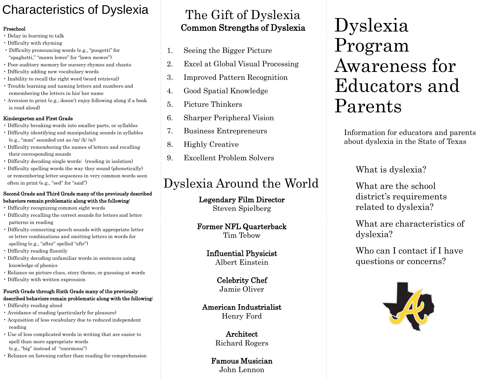# Characteristics of Dyslexia

#### Preschool

- Delay in learning to talk
- Difficulty with rhyming
- Difficulty pronouncing words (e.g., "pusgetti" for "spaghetti," "mawn lower" for "lawn mower")
- Poor auditory memory for nursery rhymes and chants
- Difficulty adding new vocabulary words
- Inability to recall the right word (word retrieval)
- Trouble learning and naming letters and numbers and remembering the letters in his/ her name
- Aversion to print (e.g., doesn't enjoy following along if a book is read aloud)

### Kindergarten and First Grade

- Difficulty breaking words into smaller parts, or syllables
- Difficulty identifying and manipulating sounds in syllables (e.g., "man" sounded out as /m/ /ă/ /n/)
- Difficulty remembering the names of letters and recalling their corresponding sounds
- Difficulty decoding single words: (reading in isolation)
- Difficulty spelling words the way they sound (phonetically) or remembering letter sequences in very common words seen often in print (e.g., "sed" for "said")

#### Second Grade and Third Grade many of the previously described behaviors remain problematic along with the following:

- Difficulty recognizing common sight words
- Difficulty recalling the correct sounds for letters and letter patterns in reading
- Difficulty connecting speech sounds with appropriate letter or letter combinations and omitting letters in words for spelling (e.g., "after" spelled "eftr")
- Difficulty reading fluently
- Difficulty decoding unfamiliar words in sentences using knowledge of phonics
- Reliance on picture clues, story theme, or guessing at words
- Difficulty with written expression

### Fourth Grade through Sixth Grade many of the previously described behaviors remain problematic along with the following:

- Difficulty reading aloud
- Avoidance of reading (particularly for pleasure)
- Acquisition of less vocabulary due to reduced independent reading
- Use of less complicated words in writing that are easier to spell than more appropriate words (e.g., "big" instead of "enormous")
- Reliance on listening rather than reading for comprehension

## Common Strengths of Dyslexia<br>Secinative Biasca Biature  $\overline{\phantom{a}}$ The Gift of Dyslexia

- 1. Seeing the Bigger Picture
- 2. Excel at Global Visual Processing
- 3. Improved Pattern Recognition
- 4. Good Spatial Knowledge
- 5. Picture Thinkers
- 6. Sharper Peripheral Vision
- 7. Business Entrepreneurs
- 8. Highly Creative
- 9. Excellent Problem Solvers

# Dyslexia Around the World

### Legendary Film Director Steven Spielberg

### Former NFL Quarterback Tim Tebow

Influential Physicist Albert Einstein

> Celebrity Chef Jamie Oliver

American Industrialist Henry Ford

> Architect Richard Rogers

Famous Musician John Lennon

# Dyslexia Program Awareness for Educators and Parents

Information for educators and parents about dyslexia in the State of Texas

What is dyslexia?

What are the school district's requirements related to dyslexia?

What are characteristics of dyslexia?

Who can I contact if I have questions or concerns?